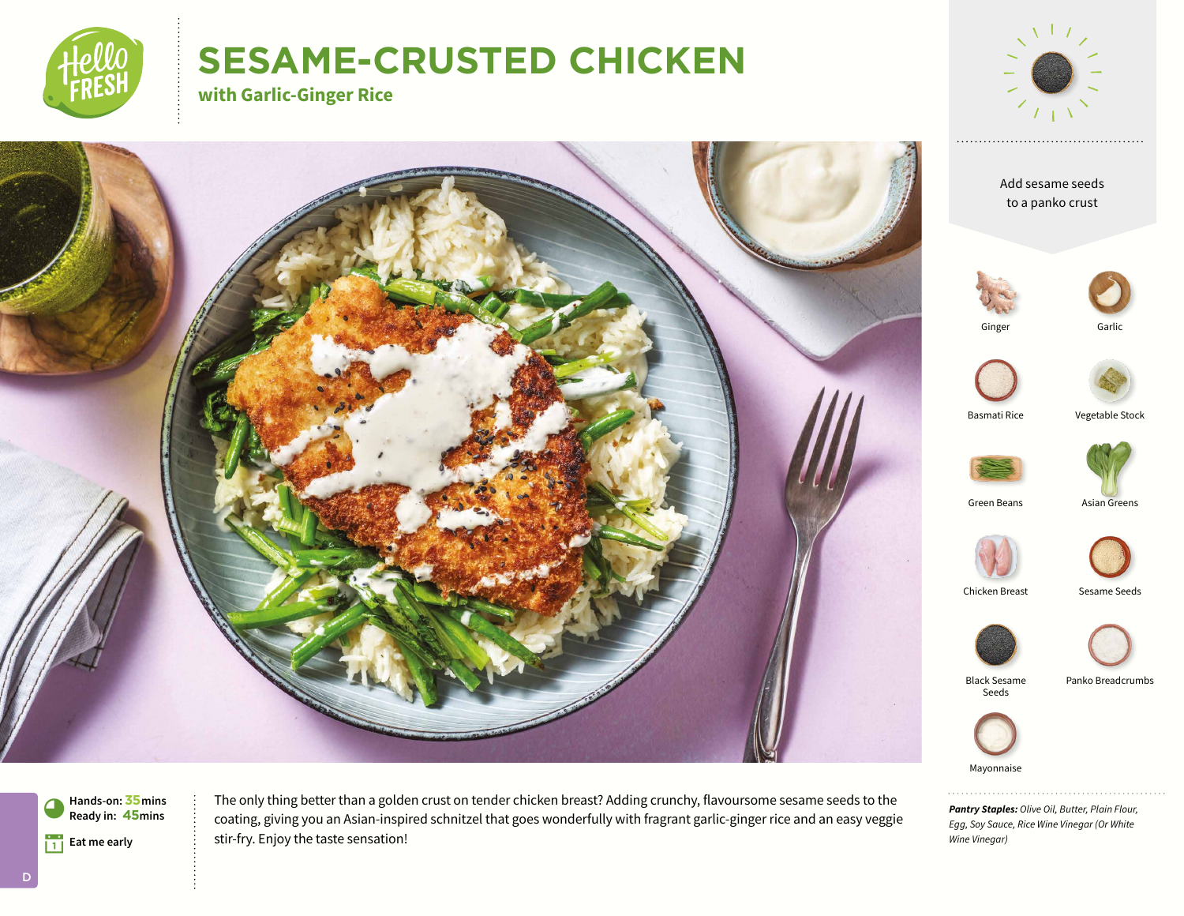

# **SESAME-CRUSTED CHICKEN**

**with Garlic-Ginger Rice**



Garlic



*Pantry Staples: Olive Oil, Butter, Plain Flour, Egg, Soy Sauce, Rice Wine Vinegar (Or White Wine Vinegar)*

!**Eat me early Hands-on:35mins** 9**Ready in: 45mins** The only thing better than a golden crust on tender chicken breast? Adding crunchy, flavoursome sesame seeds to the coating, giving you an Asian-inspired schnitzel that goes wonderfully with fragrant garlic-ginger rice and an easy veggie stir-fry. Enjoy the taste sensation!

D